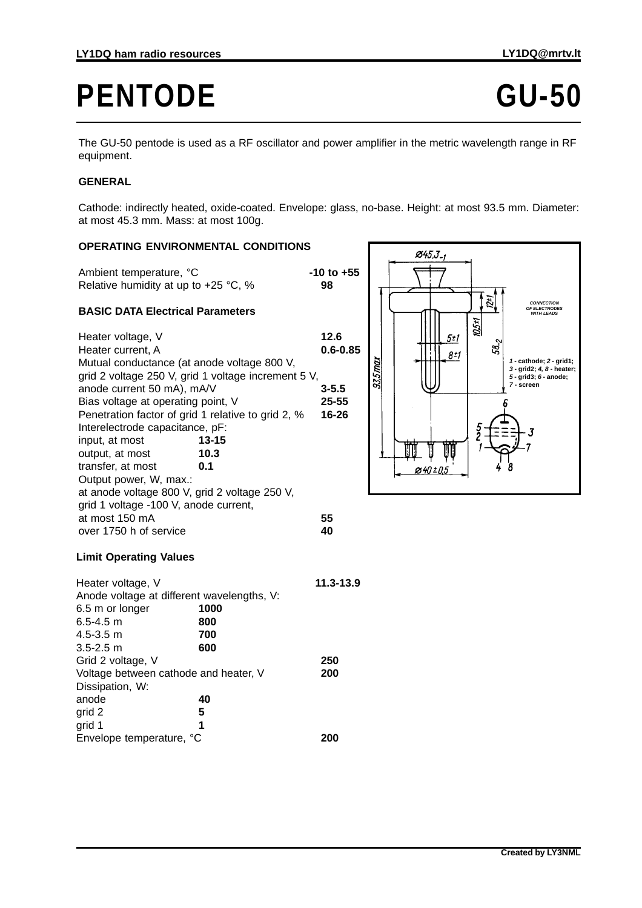# PENTODE GU-50

The GU-50 pentode is used as a RF oscillator and power amplifier in the metric wavelength range in RF equipment.

### **GENERAL**

Cathode: indirectly heated, oxide-coated. Envelope: glass, no-base. Height: at most 93.5 mm. Diameter: at most 45.3 mm. Mass: at most 100g.

#### **OPERATING ENVIRONMENTAL CONDITIONS**

Ambient temperature, °C<br> **-10 to +55** Relative humidity at up to +25 °C, % **98**

#### **BASIC DATA Electrical Parameters**

| Heater voltage, V                                  |                                                     | 12.6         |
|----------------------------------------------------|-----------------------------------------------------|--------------|
| Heater current. A                                  |                                                     | $0.6 - 0.85$ |
| Mutual conductance (at anode voltage 800 V,        |                                                     |              |
|                                                    | grid 2 voltage 250 V, grid 1 voltage increment 5 V, |              |
| anode current 50 mA), mA/V                         |                                                     | $3 - 5.5$    |
| Bias voltage at operating point, V                 |                                                     | 25-55        |
| Penetration factor of grid 1 relative to grid 2, % |                                                     | 16-26        |
| Interelectrode capacitance, pF:                    |                                                     |              |
| input, at most                                     | $13 - 15$                                           |              |
| output, at most                                    | 10.3                                                |              |
| transfer, at most                                  | 0.1                                                 |              |
| Output power, W, max.:                             |                                                     |              |
| at anode voltage 800 V, grid 2 voltage 250 V,      |                                                     |              |
| grid 1 voltage -100 V, anode current,              |                                                     |              |
| at most 150 mA                                     |                                                     | 55           |
| over 1750 h of service                             |                                                     | 40           |
|                                                    |                                                     |              |



## **Limit Operating Values**

| Heater voltage, V                          |      | 11.3-13.9 |
|--------------------------------------------|------|-----------|
| Anode voltage at different wavelengths, V: |      |           |
| 6.5 m or longer                            | 1000 |           |
| $6.5 - 4.5$ m                              | 800  |           |
| $4.5 - 3.5$ m                              | 700  |           |
| $3.5 - 2.5$ m                              | 600  |           |
| Grid 2 voltage, V                          |      | 250       |
| Voltage between cathode and heater, V      |      | 200       |
| Dissipation, W:                            |      |           |
| anode                                      | 40   |           |
| grid 2                                     | 5    |           |
| grid 1                                     | 1    |           |
| Envelope temperature, °C                   |      |           |